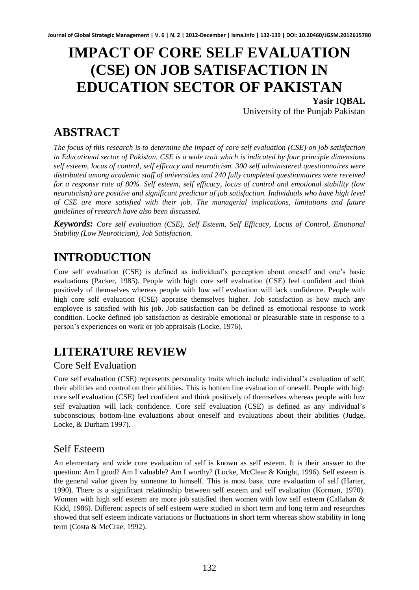# **IMPACT OF CORE SELF EVALUATION (CSE) ON JOB SATISFACTION IN EDUCATION SECTOR OF PAKISTAN**

**Yasir IQBAL**  University of the Punjab Pakistan

## **ABSTRACT**

*The focus of this research is to determine the impact of core self evaluation (CSE) on job satisfaction in Educational sector of Pakistan. CSE is a wide trait which is indicated by four principle dimensions self esteem, locus of control, self efficacy and neuroticism. 300 self administered questionnaires were distributed among academic staff of universities and 240 fully completed questionnaires were received for a response rate of 80%. Self esteem, self efficacy, locus of control and emotional stability (low neuroticism) are positive and significant predictor of job satisfaction. Individuals who have high level of CSE are more satisfied with their job. The managerial implications, limitations and future guidelines of research have also been discussed.* 

*Keywords: Core self evaluation (CSE), Self Esteem, Self Efficacy, Locus of Control, Emotional Stability (Low Neuroticism), Job Satisfaction.*

## **INTRODUCTION**

Core self evaluation (CSE) is defined as individual's perception about oneself and one's basic evaluations (Packer, 1985). People with high core self evaluation (CSE) feel confident and think positively of themselves whereas people with low self evaluation will lack confidence. People with high core self evaluation (CSE) appraise themselves higher. Job satisfaction is how much any employee is satisfied with his job. Job satisfaction can be defined as emotional response to work condition. Locke defined job satisfaction as desirable emotional or pleasurable state in response to a person's experiences on work or job appraisals (Locke, 1976).

## **LITERATURE REVIEW**

#### Core Self Evaluation

Core self evaluation (CSE) represents personality traits which include individual's evaluation of self, their abilities and control on their abilities. This is bottom line evaluation of oneself. People with high core self evaluation (CSE) feel confident and think positively of themselves whereas people with low self evaluation will lack confidence. Core self evaluation (CSE) is defined as any individual's subconscious, bottom-line evaluations about oneself and evaluations about their abilities (Judge, Locke, & Durham 1997).

#### Self Esteem

An elementary and wide core evaluation of self is known as self esteem. It is their answer to the question: Am I good? Am I valuable? Am I worthy? (Locke, McClear & Knight, 1996). Self esteem is the general value given by someone to himself. This is most basic core evaluation of self (Harter, 1990). There is a significant relationship between self esteem and self evaluation (Korman, 1970). Women with high self esteem are more job satisfied then women with low self esteem (Callahan & Kidd, 1986). Different aspects of self esteem were studied in short term and long term and researches showed that self esteem indicate variations or fluctuations in short term whereas show stability in long term (Costa & McCrae, 1992).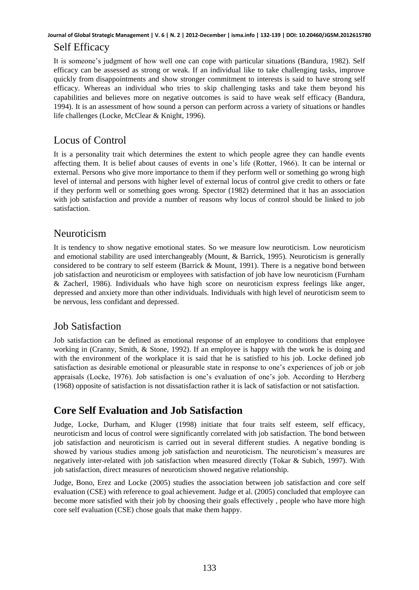#### Self Efficacy

It is someone's judgment of how well one can cope with particular situations (Bandura, 1982). Self efficacy can be assessed as strong or weak. If an individual like to take challenging tasks, improve quickly from disappointments and show stronger commitment to interests is said to have strong self efficacy. Whereas an individual who tries to skip challenging tasks and take them beyond his capabilities and believes more on negative outcomes is said to have weak self efficacy (Bandura, 1994). It is an assessment of how sound a person can perform across a variety of situations or handles life challenges (Locke, McClear & Knight, 1996).

### Locus of Control

It is a personality trait which determines the extent to which people agree they can handle events affecting them. It is belief about causes of events in one's life (Rotter, 1966). It can be internal or external. Persons who give more importance to them if they perform well or something go wrong high level of internal and persons with higher level of external locus of control give credit to others or fate if they perform well or something goes wrong. Spector (1982) determined that it has an association with job satisfaction and provide a number of reasons why locus of control should be linked to job satisfaction.

#### Neuroticism

It is tendency to show negative emotional states. So we measure low neuroticism. Low neuroticism and emotional stability are used interchangeably (Mount, & Barrick, 1995). Neuroticism is generally considered to be contrary to self esteem (Barrick & Mount, 1991). There is a negative bond between job satisfaction and neuroticism or employees with satisfaction of job have low neuroticism (Furnham & Zacherl, 1986). Individuals who have high score on neuroticism express feelings like anger, depressed and anxiety more than other individuals. Individuals with high level of neuroticism seem to be nervous, less confidant and depressed.

#### Job Satisfaction

Job satisfaction can be defined as emotional response of an employee to conditions that employee working in (Cranny, Smith, & Stone, 1992). If an employee is happy with the work he is doing and with the environment of the workplace it is said that he is satisfied to his job. Locke defined job satisfaction as desirable emotional or pleasurable state in response to one's experiences of job or job appraisals (Locke, 1976). Job satisfaction is one's evaluation of one's job. According to Herzberg (1968) opposite of satisfaction is not dissatisfaction rather it is lack of satisfaction or not satisfaction.

### **Core Self Evaluation and Job Satisfaction**

Judge, Locke, Durham, and Kluger (1998) initiate that four traits self esteem, self efficacy, neuroticism and locus of control were significantly correlated with job satisfaction. The bond between job satisfaction and neuroticism is carried out in several different studies. A negative bonding is showed by various studies among job satisfaction and neuroticism. The neuroticism's measures are negatively inter-related with job satisfaction when measured directly (Tokar & Subich, 1997). With job satisfaction, direct measures of neuroticism showed negative relationship.

Judge, Bono, Erez and Locke (2005) studies the association between job satisfaction and core self evaluation (CSE) with reference to goal achievement. Judge et al. (2005) concluded that employee can become more satisfied with their job by choosing their goals effectively , people who have more high core self evaluation (CSE) chose goals that make them happy.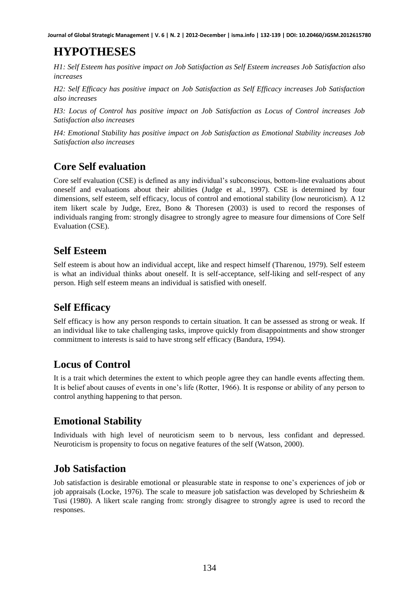## **HYPOTHESES**

*H1: Self Esteem has positive impact on Job Satisfaction as Self Esteem increases Job Satisfaction also increases* 

*H2: Self Efficacy has positive impact on Job Satisfaction as Self Efficacy increases Job Satisfaction also increases* 

*H3: Locus of Control has positive impact on Job Satisfaction as Locus of Control increases Job Satisfaction also increases* 

*H4: Emotional Stability has positive impact on Job Satisfaction as Emotional Stability increases Job Satisfaction also increases* 

### **Core Self evaluation**

Core self evaluation (CSE) is defined as any individual's subconscious, bottom-line evaluations about oneself and evaluations about their abilities (Judge et al., 1997). CSE is determined by four dimensions, self esteem, self efficacy, locus of control and emotional stability (low neuroticism). A 12 item likert scale by Judge, Erez, Bono & Thoresen (2003) is used to record the responses of individuals ranging from: strongly disagree to strongly agree to measure four dimensions of Core Self Evaluation (CSE).

### **Self Esteem**

Self esteem is about how an individual accept, like and respect himself (Tharenou, 1979). Self esteem is what an individual thinks about oneself. It is self-acceptance, self-liking and self-respect of any person. High self esteem means an individual is satisfied with oneself.

### **Self Efficacy**

Self efficacy is how any person responds to certain situation. It can be assessed as strong or weak. If an individual like to take challenging tasks, improve quickly from disappointments and show stronger commitment to interests is said to have strong self efficacy (Bandura, 1994).

### **Locus of Control**

It is a trait which determines the extent to which people agree they can handle events affecting them. It is belief about causes of events in one's life (Rotter, 1966). It is response or ability of any person to control anything happening to that person.

### **Emotional Stability**

Individuals with high level of neuroticism seem to b nervous, less confidant and depressed. Neuroticism is propensity to focus on negative features of the self (Watson, 2000).

#### **Job Satisfaction**

Job satisfaction is desirable emotional or pleasurable state in response to one's experiences of job or job appraisals (Locke, 1976). The scale to measure job satisfaction was developed by Schriesheim & Tusi (1980). A likert scale ranging from: strongly disagree to strongly agree is used to record the responses.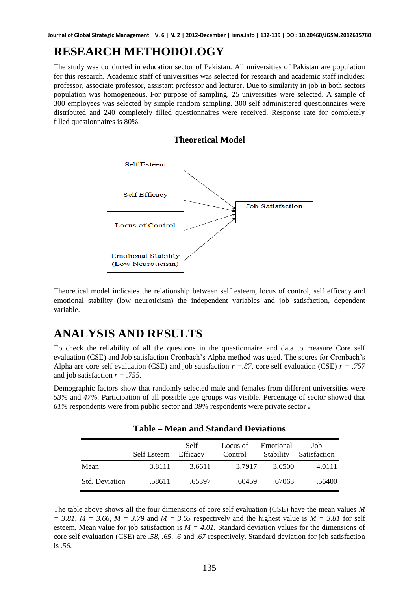### **RESEARCH METHODOLOGY**

The study was conducted in education sector of Pakistan. All universities of Pakistan are population for this research. Academic staff of universities was selected for research and academic staff includes: professor, associate professor, assistant professor and lecturer. Due to similarity in job in both sectors population was homogeneous. For purpose of sampling, 25 universities were selected. A sample of 300 employees was selected by simple random sampling. 300 self administered questionnaires were distributed and 240 completely filled questionnaires were received. Response rate for completely filled questionnaires is 80%.

**Theoretical Model** 



Theoretical model indicates the relationship between self esteem, locus of control, self efficacy and emotional stability (low neuroticism) the independent variables and job satisfaction, dependent variable.

### **ANALYSIS AND RESULTS**

To check the reliability of all the questions in the questionnaire and data to measure Core self evaluation (CSE) and Job satisfaction Cronbach's Alpha method was used. The scores for Cronbach's Alpha are core self evaluation (CSE) and job satisfaction *r =.87,* core self evaluation (CSE) *r = .757* and job satisfaction *r = .755.*

Demographic factors show that randomly selected male and females from different universities were *53%* and *47%.* Participation of all possible age groups was visible. Percentage of sector showed that *61%* respondents were from public sector and *39%* respondents were private sector **.** 

|                | Self Esteem | <b>Self</b><br>Efficacy | Locus of<br>Control | Emotional<br>Stability | Job<br>Satisfaction |
|----------------|-------------|-------------------------|---------------------|------------------------|---------------------|
| Mean           | 3.8111      | 3.6611                  | 3.7917              | 3.6500                 | 4.0111              |
| Std. Deviation | .58611      | .65397                  | .60459              | .67063                 | .56400              |

**Table – Mean and Standard Deviations**

The table above shows all the four dimensions of core self evaluation (CSE) have the mean values *M*   $= 3.81$ ,  $M = 3.66$ ,  $M = 3.79$  and  $M = 3.65$  respectively and the highest value is  $M = 3.81$  for self esteem. Mean value for job satisfaction is  $M = 4.01$ . Standard deviation values for the dimensions of core self evaluation (CSE) are *.58, .65, .6* and *.67* respectively. Standard deviation for job satisfaction is *.56.*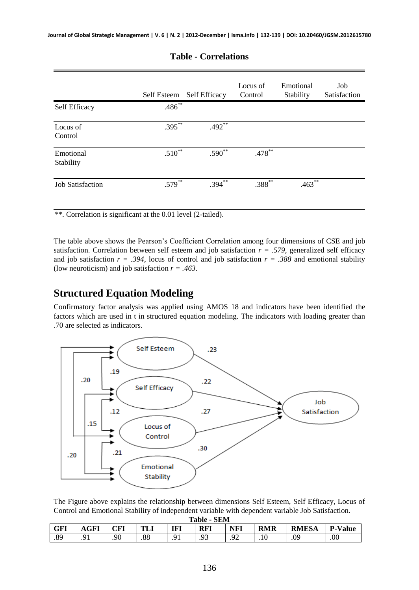|                         | Self Esteem | <b>Self Efficacy</b> | Locus of<br>Control | Emotional<br>Stability | Job<br>Satisfaction |
|-------------------------|-------------|----------------------|---------------------|------------------------|---------------------|
| Self Efficacy           | $.486***$   |                      |                     |                        |                     |
| Locus of<br>Control     | $.395***$   | $.492**$             |                     |                        |                     |
| Emotional<br>Stability  | $.510**$    | $.590**$             | $.478***$           |                        |                     |
| <b>Job Satisfaction</b> | $.579***$   | $.394***$            | $.388***$           | $.463***$              |                     |

#### **Table - Correlations**

\*\*. Correlation is significant at the 0.01 level (2-tailed).

The table above shows the Pearson's Coefficient Correlation among four dimensions of CSE and job satisfaction. Correlation between self esteem and job satisfaction  $r = .579$ , generalized self efficacy and job satisfaction  $r = .394$ , locus of control and job satisfaction  $r = .388$  and emotional stability (low neuroticism) and job satisfaction *r = .463*.

#### **Structured Equation Modeling**

Confirmatory factor analysis was applied using AMOS 18 and indicators have been identified the factors which are used in t in structured equation modeling. The indicators with loading greater than .70 are selected as indicators.



The Figure above explains the relationship between dimensions Self Esteem, Self Efficacy, Locus of Control and Emotional Stability of independent variable with dependent variable Job Satisfaction. **Table - SEM**

| <b>TADIC - OLIVE</b> |                                |     |                |     |            |         |            |              |                |
|----------------------|--------------------------------|-----|----------------|-----|------------|---------|------------|--------------|----------------|
| GFI                  | AGFI                           | CFI | mт<br>1 L 1    | IFI | <b>RFI</b> | NFI     | <b>RMR</b> | <b>RMESA</b> | <b>P-Value</b> |
| $\circ$<br>ده.       | $\Omega$ <sup>1</sup><br>. . 1 | .90 | $\circ$<br>.00 |     | .          | ∩^<br>. | .10        | .09          | .00            |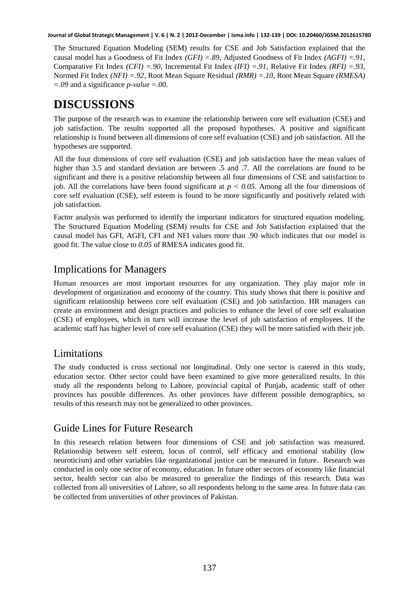The Structured Equation Modeling (SEM) results for CSE and Job Satisfaction explained that the causal model has a Goodness of Fit Index *(GFI) =.89*, Adjusted Goodness of Fit Index *(AGFI) =.91*, Comparative Fit Index *(CFI) =.90*, Incremental Fit Index *(IFI) =.91*, Relative Fit Index *(RFI) =.93*, Normed Fit Index *(NFI) =.92*, Root Mean Square Residual *(RMR) =.10*, Root Mean Square *(RMESA) =.09* and a significance *p-value =.00*.

### **DISCUSSIONS**

The purpose of the research was to examine the relationship between core self evaluation (CSE) and job satisfaction. The results supported all the proposed hypotheses. A positive and significant relationship is found between all dimensions of core self evaluation (CSE) and job satisfaction. All the hypotheses are supported.

All the four dimensions of core self evaluation (CSE) and job satisfaction have the mean values of higher than 3.5 and standard deviation are between .5 and .7. All the correlations are found to be significant and there is a positive relationship between all four dimensions of CSE and satisfaction to job. All the correlations have been found significant at *p < 0.05*. Among all the four dimensions of core self evaluation (CSE), self esteem is found to be more significantly and positively related with job satisfaction.

Factor analysis was performed to identify the important indicators for structured equation modeling. The Structured Equation Modeling (SEM) results for CSE and Job Satisfaction explained that the causal model has GFI, AGFI, CFI and NFI values more than .90 which indicates that our model is good fit. The value close to *0.05* of RMESA indicates good fit.

#### Implications for Managers

Human resources are most important resources for any organization. They play major role in development of organization and economy of the country. This study shows that there is positive and significant relationship between core self evaluation (CSE) and job satisfaction. HR managers can create an environment and design practices and policies to enhance the level of core self evaluation (CSE) of employees, which in turn will increase the level of job satisfaction of employees. If the academic staff has higher level of core self evaluation (CSE) they will be more satisfied with their job.

#### Limitations

The study conducted is cross sectional not longitudinal. Only one sector is catered in this study, education sector. Other sector could have been examined to give more generalized results. In this study all the respondents belong to Lahore, provincial capital of Punjab, academic staff of other provinces has possible differences. As other provinces have different possible demographics, so results of this research may not be generalized to other provinces.

#### Guide Lines for Future Research

In this research relation between four dimensions of CSE and job satisfaction was measured. Relationship between self esteem, locus of control, self efficacy and emotional stability (low neuroticism) and other variables like organizational justice can be measured in future. Research was conducted in only one sector of economy, education. In future other sectors of economy like financial sector, health sector can also be measured to generalize the findings of this research. Data was collected from all universities of Lahore, so all respondents belong to the same area. In future data can be collected from universities of other provinces of Pakistan.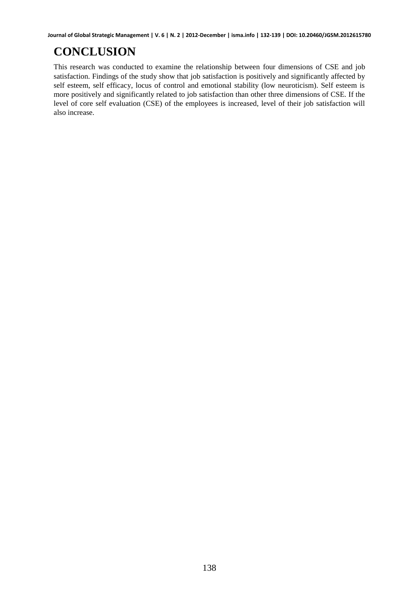## **CONCLUSION**

This research was conducted to examine the relationship between four dimensions of CSE and job satisfaction. Findings of the study show that job satisfaction is positively and significantly affected by self esteem, self efficacy, locus of control and emotional stability (low neuroticism). Self esteem is more positively and significantly related to job satisfaction than other three dimensions of CSE. If the level of core self evaluation (CSE) of the employees is increased, level of their job satisfaction will also increase.